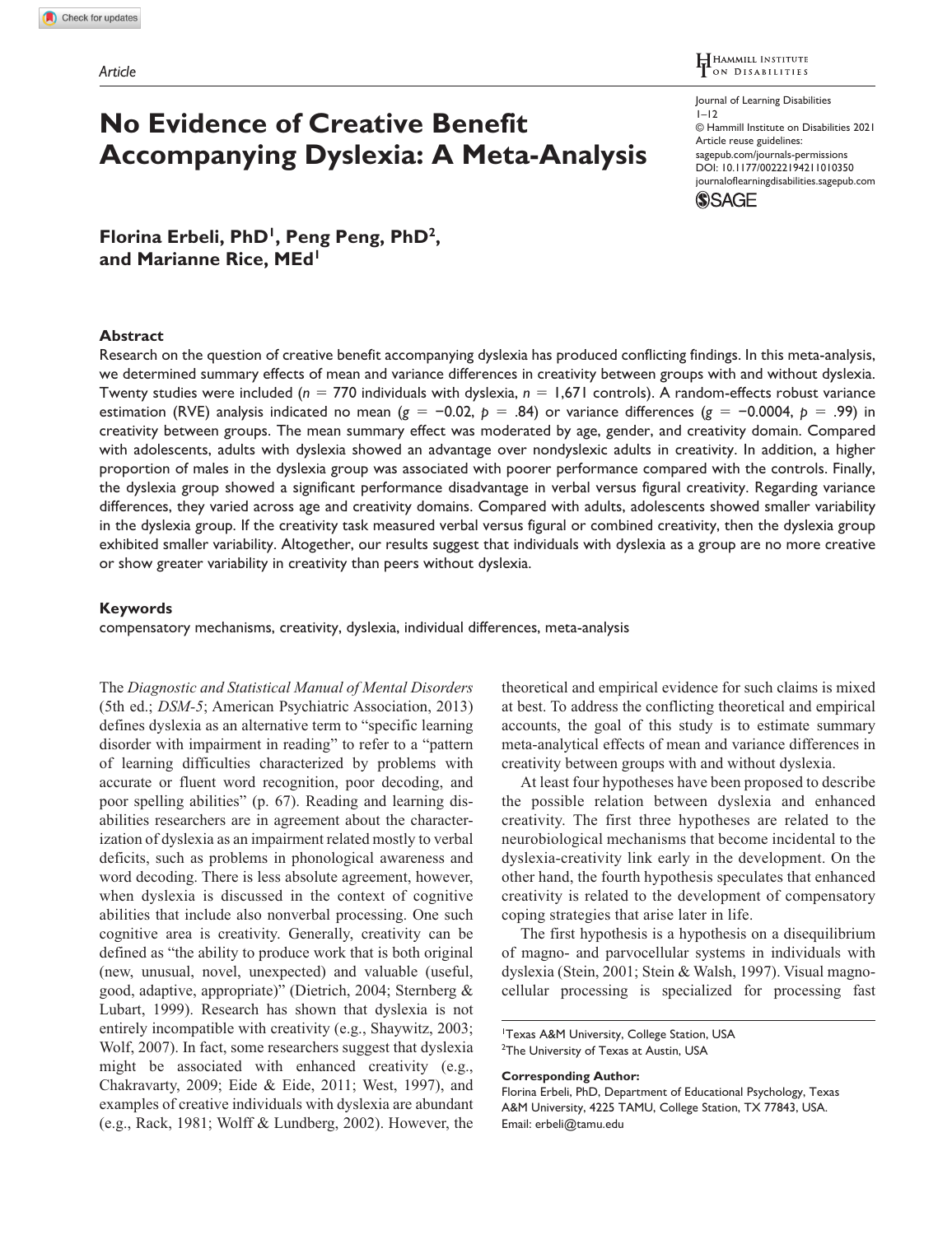**No Evidence of Creative Benefit Accompanying Dyslexia: A Meta-Analysis** HAMMILL INSTITUTE

Journal of Learning Disabilities  $1 - 12$ © Hammill Institute on Disabilities 2021 Article reuse guidelines: [sagepub.com/journals-permissions](https://us.sagepub.com/en-us/journals-permissions) https://doi.org/10.1177/00222194211010350 DOI: 10.1177/00222194211010350 [journaloflearningdisabilities.sagepub.com](https://journaloflearningdisabilities.sagepub.com
) **SSAGE** 

**Florina Erbeli, PhD1, Peng Peng, PhD2, and Marianne Rice, MEd1**

#### **Abstract**

Research on the question of creative benefit accompanying dyslexia has produced conflicting findings. In this meta-analysis, we determined summary effects of mean and variance differences in creativity between groups with and without dyslexia. Twenty studies were included (*n* = 770 individuals with dyslexia, *n* = 1,671 controls). A random-effects robust variance estimation (RVE) analysis indicated no mean (*g* = −0.02, *p* = .84) or variance differences (*g* = −0.0004, *p* = .99) in creativity between groups. The mean summary effect was moderated by age, gender, and creativity domain. Compared with adolescents, adults with dyslexia showed an advantage over nondyslexic adults in creativity. In addition, a higher proportion of males in the dyslexia group was associated with poorer performance compared with the controls. Finally, the dyslexia group showed a significant performance disadvantage in verbal versus figural creativity. Regarding variance differences, they varied across age and creativity domains. Compared with adults, adolescents showed smaller variability in the dyslexia group. If the creativity task measured verbal versus figural or combined creativity, then the dyslexia group exhibited smaller variability. Altogether, our results suggest that individuals with dyslexia as a group are no more creative or show greater variability in creativity than peers without dyslexia.

### **Keywords**

compensatory mechanisms, creativity, dyslexia, individual differences, meta-analysis

The *Diagnostic and Statistical Manual of Mental Disorders* (5th ed.; *DSM-5*; American Psychiatric Association, 2013) defines dyslexia as an alternative term to "specific learning disorder with impairment in reading" to refer to a "pattern of learning difficulties characterized by problems with accurate or fluent word recognition, poor decoding, and poor spelling abilities" (p. 67). Reading and learning disabilities researchers are in agreement about the characterization of dyslexia as an impairment related mostly to verbal deficits, such as problems in phonological awareness and word decoding. There is less absolute agreement, however, when dyslexia is discussed in the context of cognitive abilities that include also nonverbal processing. One such cognitive area is creativity. Generally, creativity can be defined as "the ability to produce work that is both original (new, unusual, novel, unexpected) and valuable (useful, good, adaptive, appropriate)" (Dietrich, 2004; Sternberg & Lubart, 1999). Research has shown that dyslexia is not entirely incompatible with creativity (e.g., Shaywitz, 2003; Wolf, 2007). In fact, some researchers suggest that dyslexia might be associated with enhanced creativity (e.g., Chakravarty, 2009; Eide & Eide, 2011; West, 1997), and examples of creative individuals with dyslexia are abundant (e.g., Rack, 1981; Wolff & Lundberg, 2002). However, the theoretical and empirical evidence for such claims is mixed at best. To address the conflicting theoretical and empirical accounts, the goal of this study is to estimate summary meta-analytical effects of mean and variance differences in creativity between groups with and without dyslexia.

At least four hypotheses have been proposed to describe the possible relation between dyslexia and enhanced creativity. The first three hypotheses are related to the neurobiological mechanisms that become incidental to the dyslexia-creativity link early in the development. On the other hand, the fourth hypothesis speculates that enhanced creativity is related to the development of compensatory coping strategies that arise later in life.

The first hypothesis is a hypothesis on a disequilibrium of magno- and parvocellular systems in individuals with dyslexia (Stein, 2001; Stein & Walsh, 1997). Visual magnocellular processing is specialized for processing fast

#### **Corresponding Author:**

<sup>1</sup>Texas A&M University, College Station, USA <sup>2</sup>The University of Texas at Austin, USA

Florina Erbeli, PhD, Department of Educational Psychology, Texas A&M University, 4225 TAMU, College Station, TX 77843, USA. Email: [erbeli@tamu.edu](mailto:erbeli@tamu.edu)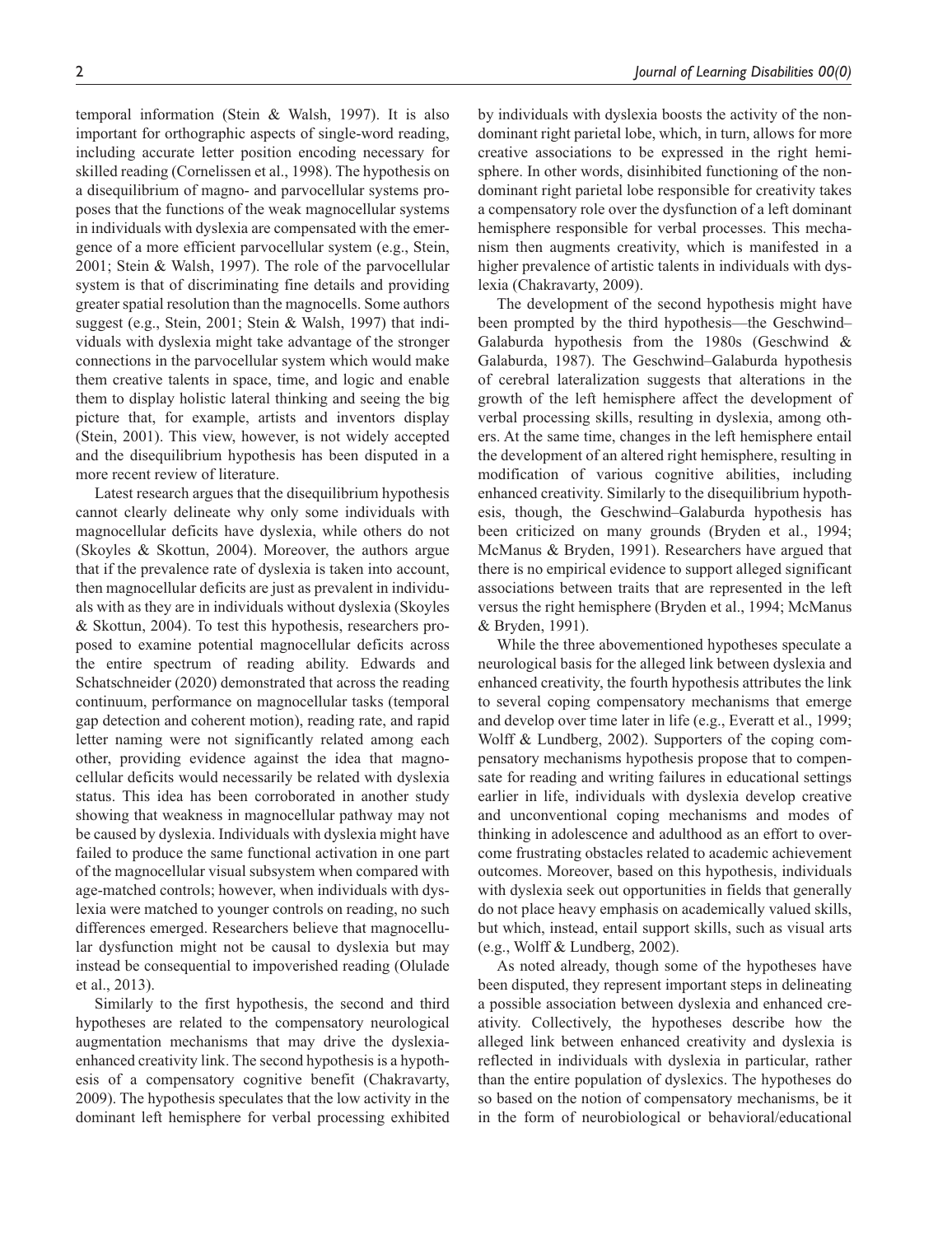temporal information (Stein & Walsh, 1997). It is also important for orthographic aspects of single-word reading, including accurate letter position encoding necessary for skilled reading (Cornelissen et al., 1998). The hypothesis on a disequilibrium of magno- and parvocellular systems proposes that the functions of the weak magnocellular systems in individuals with dyslexia are compensated with the emergence of a more efficient parvocellular system (e.g., Stein, 2001; Stein & Walsh, 1997). The role of the parvocellular system is that of discriminating fine details and providing greater spatial resolution than the magnocells. Some authors suggest (e.g., Stein, 2001; Stein & Walsh, 1997) that individuals with dyslexia might take advantage of the stronger connections in the parvocellular system which would make them creative talents in space, time, and logic and enable them to display holistic lateral thinking and seeing the big picture that, for example, artists and inventors display (Stein, 2001). This view, however, is not widely accepted and the disequilibrium hypothesis has been disputed in a more recent review of literature.

Latest research argues that the disequilibrium hypothesis cannot clearly delineate why only some individuals with magnocellular deficits have dyslexia, while others do not (Skoyles & Skottun, 2004). Moreover, the authors argue that if the prevalence rate of dyslexia is taken into account, then magnocellular deficits are just as prevalent in individuals with as they are in individuals without dyslexia (Skoyles & Skottun, 2004). To test this hypothesis, researchers proposed to examine potential magnocellular deficits across the entire spectrum of reading ability. Edwards and Schatschneider (2020) demonstrated that across the reading continuum, performance on magnocellular tasks (temporal gap detection and coherent motion), reading rate, and rapid letter naming were not significantly related among each other, providing evidence against the idea that magnocellular deficits would necessarily be related with dyslexia status. This idea has been corroborated in another study showing that weakness in magnocellular pathway may not be caused by dyslexia. Individuals with dyslexia might have failed to produce the same functional activation in one part of the magnocellular visual subsystem when compared with age-matched controls; however, when individuals with dyslexia were matched to younger controls on reading, no such differences emerged. Researchers believe that magnocellular dysfunction might not be causal to dyslexia but may instead be consequential to impoverished reading (Olulade et al., 2013).

Similarly to the first hypothesis, the second and third hypotheses are related to the compensatory neurological augmentation mechanisms that may drive the dyslexiaenhanced creativity link. The second hypothesis is a hypothesis of a compensatory cognitive benefit (Chakravarty, 2009). The hypothesis speculates that the low activity in the dominant left hemisphere for verbal processing exhibited

by individuals with dyslexia boosts the activity of the nondominant right parietal lobe, which, in turn, allows for more creative associations to be expressed in the right hemisphere. In other words, disinhibited functioning of the nondominant right parietal lobe responsible for creativity takes a compensatory role over the dysfunction of a left dominant hemisphere responsible for verbal processes. This mechanism then augments creativity, which is manifested in a higher prevalence of artistic talents in individuals with dyslexia (Chakravarty, 2009).

The development of the second hypothesis might have been prompted by the third hypothesis—the Geschwind– Galaburda hypothesis from the 1980s (Geschwind & Galaburda, 1987). The Geschwind–Galaburda hypothesis of cerebral lateralization suggests that alterations in the growth of the left hemisphere affect the development of verbal processing skills, resulting in dyslexia, among others. At the same time, changes in the left hemisphere entail the development of an altered right hemisphere, resulting in modification of various cognitive abilities, including enhanced creativity. Similarly to the disequilibrium hypothesis, though, the Geschwind–Galaburda hypothesis has been criticized on many grounds (Bryden et al., 1994; McManus & Bryden, 1991). Researchers have argued that there is no empirical evidence to support alleged significant associations between traits that are represented in the left versus the right hemisphere (Bryden et al., 1994; McManus & Bryden, 1991).

While the three abovementioned hypotheses speculate a neurological basis for the alleged link between dyslexia and enhanced creativity, the fourth hypothesis attributes the link to several coping compensatory mechanisms that emerge and develop over time later in life (e.g., Everatt et al., 1999; Wolff & Lundberg, 2002). Supporters of the coping compensatory mechanisms hypothesis propose that to compensate for reading and writing failures in educational settings earlier in life, individuals with dyslexia develop creative and unconventional coping mechanisms and modes of thinking in adolescence and adulthood as an effort to overcome frustrating obstacles related to academic achievement outcomes. Moreover, based on this hypothesis, individuals with dyslexia seek out opportunities in fields that generally do not place heavy emphasis on academically valued skills, but which, instead, entail support skills, such as visual arts (e.g., Wolff & Lundberg, 2002).

As noted already, though some of the hypotheses have been disputed, they represent important steps in delineating a possible association between dyslexia and enhanced creativity. Collectively, the hypotheses describe how the alleged link between enhanced creativity and dyslexia is reflected in individuals with dyslexia in particular, rather than the entire population of dyslexics. The hypotheses do so based on the notion of compensatory mechanisms, be it in the form of neurobiological or behavioral/educational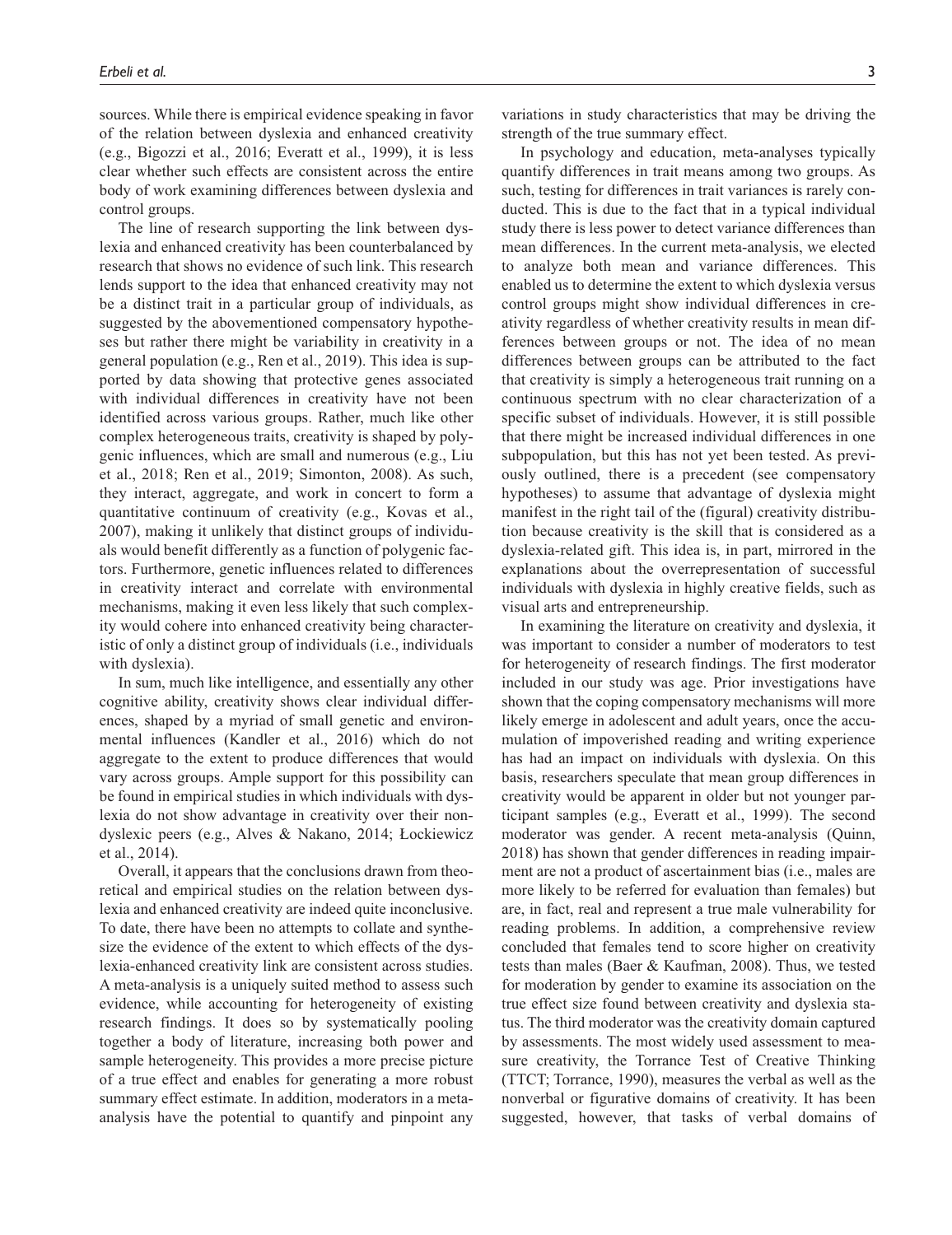sources. While there is empirical evidence speaking in favor of the relation between dyslexia and enhanced creativity (e.g., Bigozzi et al., 2016; Everatt et al., 1999), it is less clear whether such effects are consistent across the entire body of work examining differences between dyslexia and control groups.

The line of research supporting the link between dyslexia and enhanced creativity has been counterbalanced by research that shows no evidence of such link. This research lends support to the idea that enhanced creativity may not be a distinct trait in a particular group of individuals, as suggested by the abovementioned compensatory hypotheses but rather there might be variability in creativity in a general population (e.g., Ren et al., 2019). This idea is supported by data showing that protective genes associated with individual differences in creativity have not been identified across various groups. Rather, much like other complex heterogeneous traits, creativity is shaped by polygenic influences, which are small and numerous (e.g., Liu et al., 2018; Ren et al., 2019; Simonton, 2008). As such, they interact, aggregate, and work in concert to form a quantitative continuum of creativity (e.g., Kovas et al., 2007), making it unlikely that distinct groups of individuals would benefit differently as a function of polygenic factors. Furthermore, genetic influences related to differences in creativity interact and correlate with environmental mechanisms, making it even less likely that such complexity would cohere into enhanced creativity being characteristic of only a distinct group of individuals (i.e., individuals with dyslexia).

In sum, much like intelligence, and essentially any other cognitive ability, creativity shows clear individual differences, shaped by a myriad of small genetic and environmental influences (Kandler et al., 2016) which do not aggregate to the extent to produce differences that would vary across groups. Ample support for this possibility can be found in empirical studies in which individuals with dyslexia do not show advantage in creativity over their nondyslexic peers (e.g., Alves & Nakano, 2014; Łockiewicz et al., 2014).

Overall, it appears that the conclusions drawn from theoretical and empirical studies on the relation between dyslexia and enhanced creativity are indeed quite inconclusive. To date, there have been no attempts to collate and synthesize the evidence of the extent to which effects of the dyslexia-enhanced creativity link are consistent across studies. A meta-analysis is a uniquely suited method to assess such evidence, while accounting for heterogeneity of existing research findings. It does so by systematically pooling together a body of literature, increasing both power and sample heterogeneity. This provides a more precise picture of a true effect and enables for generating a more robust summary effect estimate. In addition, moderators in a metaanalysis have the potential to quantify and pinpoint any

variations in study characteristics that may be driving the strength of the true summary effect.

In psychology and education, meta-analyses typically quantify differences in trait means among two groups. As such, testing for differences in trait variances is rarely conducted. This is due to the fact that in a typical individual study there is less power to detect variance differences than mean differences. In the current meta-analysis, we elected to analyze both mean and variance differences. This enabled us to determine the extent to which dyslexia versus control groups might show individual differences in creativity regardless of whether creativity results in mean differences between groups or not. The idea of no mean differences between groups can be attributed to the fact that creativity is simply a heterogeneous trait running on a continuous spectrum with no clear characterization of a specific subset of individuals. However, it is still possible that there might be increased individual differences in one subpopulation, but this has not yet been tested. As previously outlined, there is a precedent (see compensatory hypotheses) to assume that advantage of dyslexia might manifest in the right tail of the (figural) creativity distribution because creativity is the skill that is considered as a dyslexia-related gift. This idea is, in part, mirrored in the explanations about the overrepresentation of successful individuals with dyslexia in highly creative fields, such as visual arts and entrepreneurship.

In examining the literature on creativity and dyslexia, it was important to consider a number of moderators to test for heterogeneity of research findings. The first moderator included in our study was age. Prior investigations have shown that the coping compensatory mechanisms will more likely emerge in adolescent and adult years, once the accumulation of impoverished reading and writing experience has had an impact on individuals with dyslexia. On this basis, researchers speculate that mean group differences in creativity would be apparent in older but not younger participant samples (e.g., Everatt et al., 1999). The second moderator was gender. A recent meta-analysis (Quinn, 2018) has shown that gender differences in reading impairment are not a product of ascertainment bias (i.e., males are more likely to be referred for evaluation than females) but are, in fact, real and represent a true male vulnerability for reading problems. In addition, a comprehensive review concluded that females tend to score higher on creativity tests than males (Baer & Kaufman, 2008). Thus, we tested for moderation by gender to examine its association on the true effect size found between creativity and dyslexia status. The third moderator was the creativity domain captured by assessments. The most widely used assessment to measure creativity, the Torrance Test of Creative Thinking (TTCT; Torrance, 1990), measures the verbal as well as the nonverbal or figurative domains of creativity. It has been suggested, however, that tasks of verbal domains of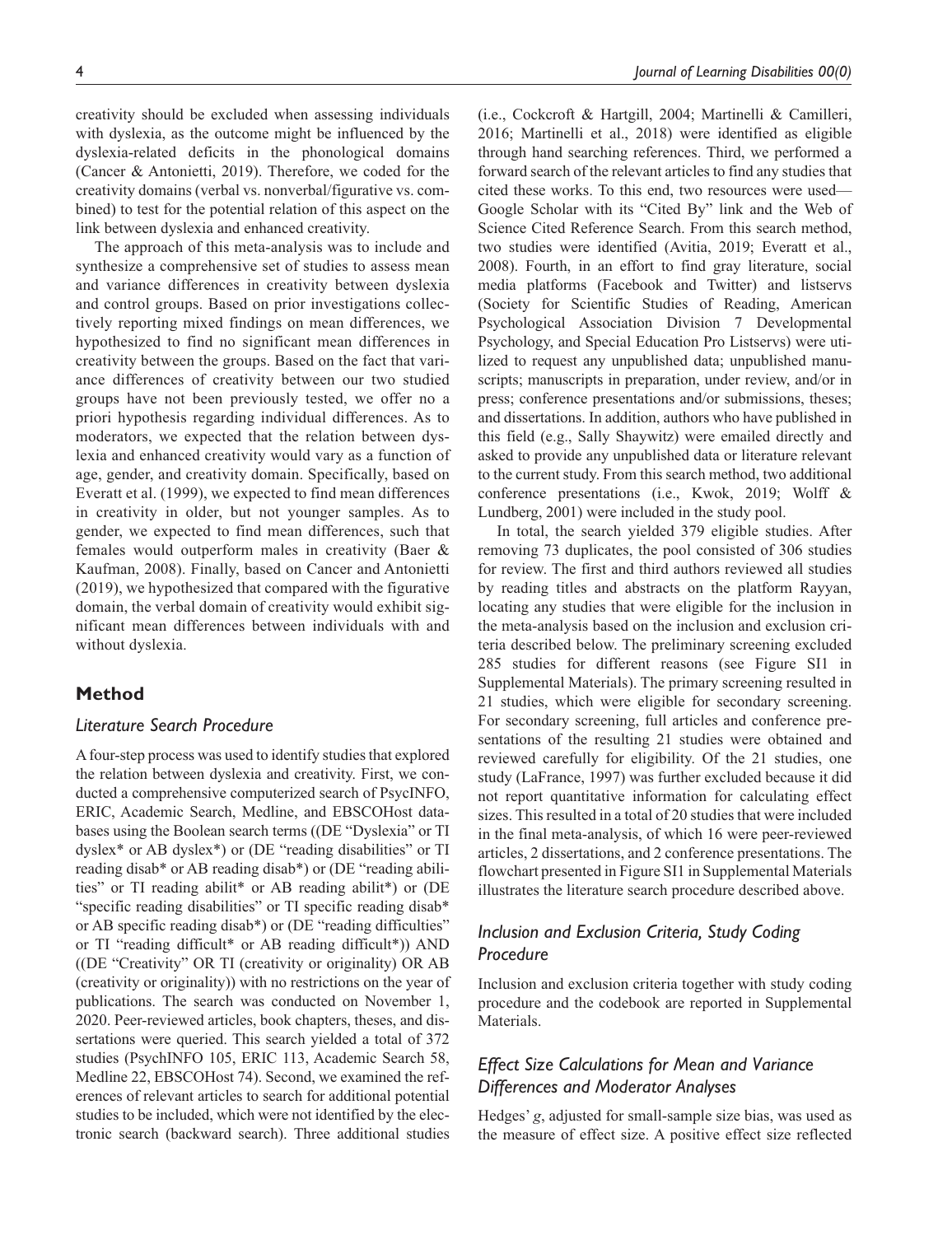creativity should be excluded when assessing individuals with dyslexia, as the outcome might be influenced by the dyslexia-related deficits in the phonological domains (Cancer & Antonietti, 2019). Therefore, we coded for the creativity domains (verbal vs. nonverbal/figurative vs. combined) to test for the potential relation of this aspect on the link between dyslexia and enhanced creativity.

The approach of this meta-analysis was to include and synthesize a comprehensive set of studies to assess mean and variance differences in creativity between dyslexia and control groups. Based on prior investigations collectively reporting mixed findings on mean differences, we hypothesized to find no significant mean differences in creativity between the groups. Based on the fact that variance differences of creativity between our two studied groups have not been previously tested, we offer no a priori hypothesis regarding individual differences. As to moderators, we expected that the relation between dyslexia and enhanced creativity would vary as a function of age, gender, and creativity domain. Specifically, based on Everatt et al. (1999), we expected to find mean differences in creativity in older, but not younger samples. As to gender, we expected to find mean differences, such that females would outperform males in creativity (Baer & Kaufman, 2008). Finally, based on Cancer and Antonietti (2019), we hypothesized that compared with the figurative domain, the verbal domain of creativity would exhibit significant mean differences between individuals with and without dyslexia.

## **Method**

### *Literature Search Procedure*

A four-step process was used to identify studies that explored the relation between dyslexia and creativity. First, we conducted a comprehensive computerized search of PsycINFO, ERIC, Academic Search, Medline, and EBSCOHost databases using the Boolean search terms ((DE "Dyslexia" or TI dyslex\* or AB dyslex\*) or (DE "reading disabilities" or TI reading disab\* or AB reading disab\*) or (DE "reading abilities" or TI reading abilit\* or AB reading abilit\*) or (DE "specific reading disabilities" or TI specific reading disab\* or AB specific reading disab\*) or (DE "reading difficulties" or TI "reading difficult\* or AB reading difficult\*)) AND ((DE "Creativity" OR TI (creativity or originality) OR AB (creativity or originality)) with no restrictions on the year of publications. The search was conducted on November 1, 2020. Peer-reviewed articles, book chapters, theses, and dissertations were queried. This search yielded a total of 372 studies (PsychINFO 105, ERIC 113, Academic Search 58, Medline 22, EBSCOHost 74). Second, we examined the references of relevant articles to search for additional potential studies to be included, which were not identified by the electronic search (backward search). Three additional studies

(i.e., Cockcroft & Hartgill, 2004; Martinelli & Camilleri, 2016; Martinelli et al., 2018) were identified as eligible through hand searching references. Third, we performed a forward search of the relevant articles to find any studies that cited these works. To this end, two resources were used— Google Scholar with its "Cited By" link and the Web of Science Cited Reference Search. From this search method, two studies were identified (Avitia, 2019; Everatt et al., 2008). Fourth, in an effort to find gray literature, social media platforms (Facebook and Twitter) and listservs (Society for Scientific Studies of Reading, American Psychological Association Division 7 Developmental Psychology, and Special Education Pro Listservs) were utilized to request any unpublished data; unpublished manuscripts; manuscripts in preparation, under review, and/or in press; conference presentations and/or submissions, theses; and dissertations. In addition, authors who have published in this field (e.g., Sally Shaywitz) were emailed directly and asked to provide any unpublished data or literature relevant to the current study. From this search method, two additional conference presentations (i.e., Kwok, 2019; Wolff & Lundberg, 2001) were included in the study pool.

In total, the search yielded 379 eligible studies. After removing 73 duplicates, the pool consisted of 306 studies for review. The first and third authors reviewed all studies by reading titles and abstracts on the platform Rayyan, locating any studies that were eligible for the inclusion in the meta-analysis based on the inclusion and exclusion criteria described below. The preliminary screening excluded 285 studies for different reasons (see Figure SI1 in Supplemental Materials). The primary screening resulted in 21 studies, which were eligible for secondary screening. For secondary screening, full articles and conference presentations of the resulting 21 studies were obtained and reviewed carefully for eligibility. Of the 21 studies, one study (LaFrance, 1997) was further excluded because it did not report quantitative information for calculating effect sizes. This resulted in a total of 20 studies that were included in the final meta-analysis, of which 16 were peer-reviewed articles, 2 dissertations, and 2 conference presentations. The flowchart presented in Figure SI1 in Supplemental Materials illustrates the literature search procedure described above.

## *Inclusion and Exclusion Criteria, Study Coding Procedure*

Inclusion and exclusion criteria together with study coding procedure and the codebook are reported in Supplemental Materials.

# *Effect Size Calculations for Mean and Variance Differences and Moderator Analyses*

Hedges' *g*, adjusted for small-sample size bias, was used as the measure of effect size. A positive effect size reflected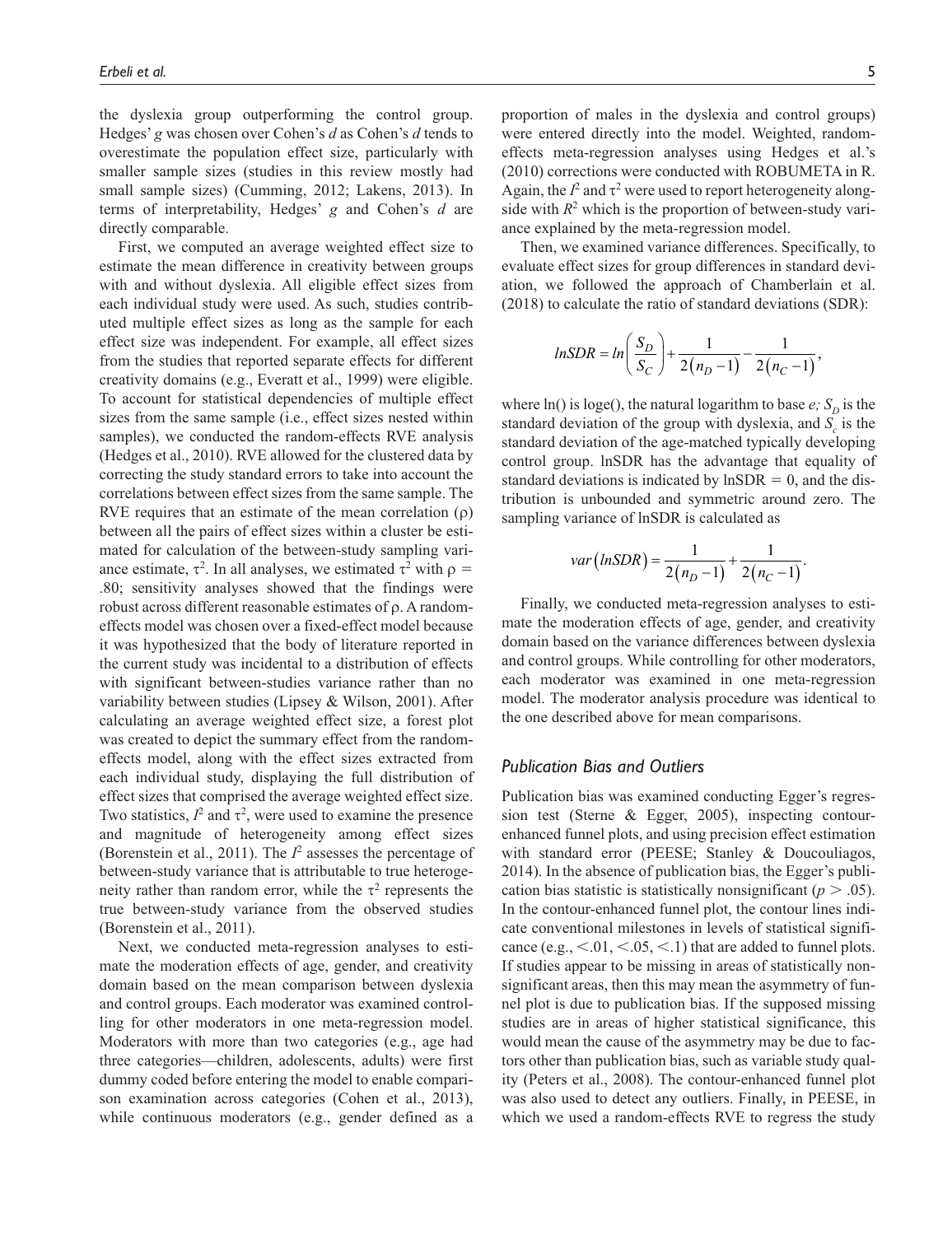the dyslexia group outperforming the control group. Hedges' *g* was chosen over Cohen's *d* as Cohen's *d* tends to overestimate the population effect size, particularly with smaller sample sizes (studies in this review mostly had small sample sizes) (Cumming, 2012; Lakens, 2013). In terms of interpretability, Hedges' *g* and Cohen's *d* are directly comparable.

First, we computed an average weighted effect size to estimate the mean difference in creativity between groups with and without dyslexia. All eligible effect sizes from each individual study were used. As such, studies contributed multiple effect sizes as long as the sample for each effect size was independent. For example, all effect sizes from the studies that reported separate effects for different creativity domains (e.g., Everatt et al., 1999) were eligible. To account for statistical dependencies of multiple effect sizes from the same sample (i.e., effect sizes nested within samples), we conducted the random-effects RVE analysis (Hedges et al., 2010). RVE allowed for the clustered data by correcting the study standard errors to take into account the correlations between effect sizes from the same sample. The RVE requires that an estimate of the mean correlation  $(\rho)$ between all the pairs of effect sizes within a cluster be estimated for calculation of the between-study sampling variance estimate,  $\tau^2$ . In all analyses, we estimated  $\tau^2$  with  $\rho =$ .80; sensitivity analyses showed that the findings were robust across different reasonable estimates of ρ. A randomeffects model was chosen over a fixed-effect model because it was hypothesized that the body of literature reported in the current study was incidental to a distribution of effects with significant between-studies variance rather than no variability between studies (Lipsey & Wilson, 2001). After calculating an average weighted effect size, a forest plot was created to depict the summary effect from the randomeffects model, along with the effect sizes extracted from each individual study, displaying the full distribution of effect sizes that comprised the average weighted effect size. Two statistics,  $I^2$  and  $\tau^2$ , were used to examine the presence and magnitude of heterogeneity among effect sizes (Borenstein et al., 2011). The  $I^2$  assesses the percentage of between-study variance that is attributable to true heterogeneity rather than random error, while the  $\tau^2$  represents the true between-study variance from the observed studies (Borenstein et al., 2011).

Next, we conducted meta-regression analyses to estimate the moderation effects of age, gender, and creativity domain based on the mean comparison between dyslexia and control groups. Each moderator was examined controlling for other moderators in one meta-regression model. Moderators with more than two categories (e.g., age had three categories—children, adolescents, adults) were first dummy coded before entering the model to enable comparison examination across categories (Cohen et al., 2013), while continuous moderators (e.g., gender defined as a proportion of males in the dyslexia and control groups) were entered directly into the model. Weighted, randomeffects meta-regression analyses using Hedges et al.'s (2010) corrections were conducted with ROBUMETA in R. Again, the  $I^2$  and  $\tau^2$  were used to report heterogeneity alongside with  $R<sup>2</sup>$  which is the proportion of between-study variance explained by the meta-regression model.

Then, we examined variance differences. Specifically, to evaluate effect sizes for group differences in standard deviation, we followed the approach of Chamberlain et al. (2018) to calculate the ratio of standard deviations (SDR):

$$
lnSDR = ln\left(\frac{S_D}{S_C}\right) + \frac{1}{2(n_D-1)} - \frac{1}{2(n_C-1)},
$$

where ln() is loge(), the natural logarithm to base  $e$ ;  $S_D$  is the standard deviation of the group with dyslexia, and  $S_c$  is the standard deviation of the age-matched typically developing control group. lnSDR has the advantage that equality of standard deviations is indicated by  $lnSDR = 0$ , and the distribution is unbounded and symmetric around zero. The sampling variance of lnSDR is calculated as

$$
var\left(lnSDR\right) = \frac{1}{2(n_D - 1)} + \frac{1}{2(n_C - 1)}.
$$

Finally, we conducted meta-regression analyses to estimate the moderation effects of age, gender, and creativity domain based on the variance differences between dyslexia and control groups. While controlling for other moderators, each moderator was examined in one meta-regression model. The moderator analysis procedure was identical to the one described above for mean comparisons.

## *Publication Bias and Outliers*

Publication bias was examined conducting Egger's regression test (Sterne & Egger, 2005), inspecting contourenhanced funnel plots, and using precision effect estimation with standard error (PEESE; Stanley & Doucouliagos, 2014). In the absence of publication bias, the Egger's publication bias statistic is statistically nonsignificant ( $p > .05$ ). In the contour-enhanced funnel plot, the contour lines indicate conventional milestones in levels of statistical significance (e.g.,  $\leq 0.01$ ,  $\leq 0.05$ ,  $\leq 0.1$ ) that are added to funnel plots. If studies appear to be missing in areas of statistically nonsignificant areas, then this may mean the asymmetry of funnel plot is due to publication bias. If the supposed missing studies are in areas of higher statistical significance, this would mean the cause of the asymmetry may be due to factors other than publication bias, such as variable study quality (Peters et al., 2008). The contour-enhanced funnel plot was also used to detect any outliers. Finally, in PEESE, in which we used a random-effects RVE to regress the study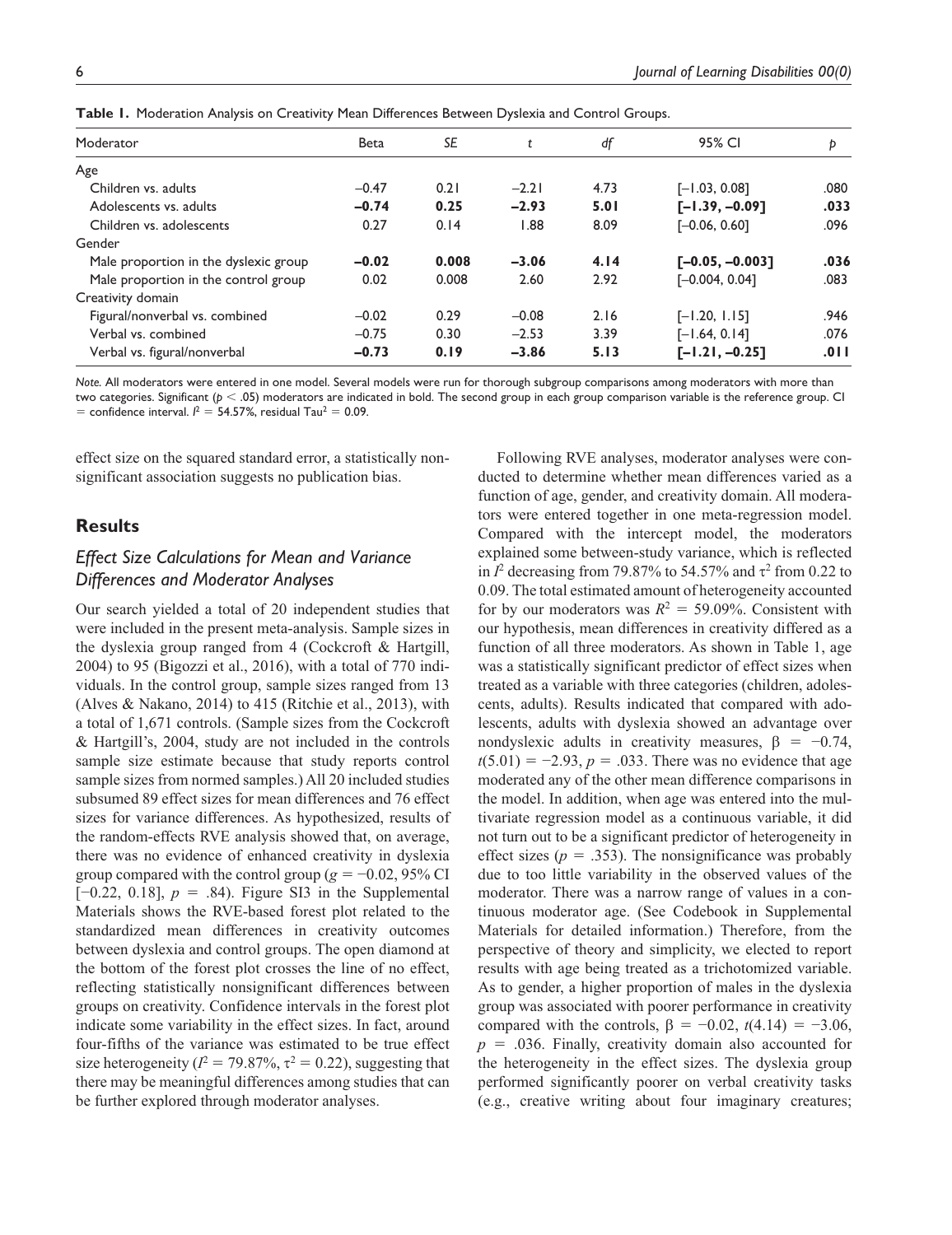| Moderator                             | Beta    | SE    | t       | df   | 95% CI            | Þ    |
|---------------------------------------|---------|-------|---------|------|-------------------|------|
| Age                                   |         |       |         |      |                   |      |
| Children vs. adults                   | $-0.47$ | 0.21  | $-2.21$ | 4.73 | $[-1.03, 0.08]$   | .080 |
| Adolescents vs. adults                | $-0.74$ | 0.25  | $-2.93$ | 5.01 | $[-1.39, -0.09]$  | .033 |
| Children vs. adolescents              | 0.27    | 0.14  | 88. ا   | 8.09 | $[-0.06, 0.60]$   | .096 |
| Gender                                |         |       |         |      |                   |      |
| Male proportion in the dyslexic group | $-0.02$ | 0.008 | $-3.06$ | 4.14 | $[-0.05, -0.003]$ | .036 |
| Male proportion in the control group  | 0.02    | 0.008 | 2.60    | 2.92 | $[-0.004, 0.04]$  | .083 |
| Creativity domain                     |         |       |         |      |                   |      |
| Figural/nonverbal vs. combined        | $-0.02$ | 0.29  | $-0.08$ | 2.16 | $[-1.20, 1.15]$   | .946 |
| Verbal vs. combined                   | $-0.75$ | 0.30  | $-2.53$ | 3.39 | $[-1.64, 0.14]$   | .076 |
| Verbal vs. figural/nonverbal          | $-0.73$ | 0.19  | $-3.86$ | 5.13 | $[-1.21, -0.25]$  | .011 |

**Table 1.** Moderation Analysis on Creativity Mean Differences Between Dyslexia and Control Groups.

*Note.* All moderators were entered in one model. Several models were run for thorough subgroup comparisons among moderators with more than two categories. Significant (*p* < .05) moderators are indicated in bold. The second group in each group comparison variable is the reference group. CI  $=$  confidence interval.  $l^2 = 54.57\%$ , residual Tau<sup>2</sup> = 0.09.

effect size on the squared standard error, a statistically nonsignificant association suggests no publication bias.

## **Results**

## *Effect Size Calculations for Mean and Variance Differences and Moderator Analyses*

Our search yielded a total of 20 independent studies that were included in the present meta-analysis. Sample sizes in the dyslexia group ranged from 4 (Cockcroft & Hartgill, 2004) to 95 (Bigozzi et al., 2016), with a total of 770 individuals. In the control group, sample sizes ranged from 13 (Alves & Nakano, 2014) to 415 (Ritchie et al., 2013), with a total of 1,671 controls. (Sample sizes from the Cockcroft & Hartgill's, 2004, study are not included in the controls sample size estimate because that study reports control sample sizes from normed samples.) All 20 included studies subsumed 89 effect sizes for mean differences and 76 effect sizes for variance differences. As hypothesized, results of the random-effects RVE analysis showed that, on average, there was no evidence of enhanced creativity in dyslexia group compared with the control group ( $g = -0.02$ , 95% CI [−0.22, 0.18], *p* = .84). Figure SI3 in the Supplemental Materials shows the RVE-based forest plot related to the standardized mean differences in creativity outcomes between dyslexia and control groups. The open diamond at the bottom of the forest plot crosses the line of no effect, reflecting statistically nonsignificant differences between groups on creativity. Confidence intervals in the forest plot indicate some variability in the effect sizes. In fact, around four-fifths of the variance was estimated to be true effect size heterogeneity ( $I^2 = 79.87\%$ ,  $\tau^2 = 0.22$ ), suggesting that there may be meaningful differences among studies that can be further explored through moderator analyses.

Following RVE analyses, moderator analyses were conducted to determine whether mean differences varied as a function of age, gender, and creativity domain. All moderators were entered together in one meta-regression model. Compared with the intercept model, the moderators explained some between-study variance, which is reflected in  $I^2$  decreasing from 79.87% to 54.57% and  $\tau^2$  from 0.22 to 0.09. The total estimated amount of heterogeneity accounted for by our moderators was  $R^2 = 59.09\%$ . Consistent with our hypothesis, mean differences in creativity differed as a function of all three moderators. As shown in Table 1, age was a statistically significant predictor of effect sizes when treated as a variable with three categories (children, adolescents, adults). Results indicated that compared with adolescents, adults with dyslexia showed an advantage over nondyslexic adults in creativity measures,  $\beta = -0.74$ ,  $t(5.01) = -2.93$ ,  $p = .033$ . There was no evidence that age moderated any of the other mean difference comparisons in the model. In addition, when age was entered into the multivariate regression model as a continuous variable, it did not turn out to be a significant predictor of heterogeneity in effect sizes ( $p = .353$ ). The nonsignificance was probably due to too little variability in the observed values of the moderator. There was a narrow range of values in a continuous moderator age. (See Codebook in Supplemental Materials for detailed information.) Therefore, from the perspective of theory and simplicity, we elected to report results with age being treated as a trichotomized variable. As to gender, a higher proportion of males in the dyslexia group was associated with poorer performance in creativity compared with the controls,  $β = -0.02$ ,  $t(4.14) = -3.06$ , *p* = .036. Finally, creativity domain also accounted for the heterogeneity in the effect sizes. The dyslexia group performed significantly poorer on verbal creativity tasks (e.g., creative writing about four imaginary creatures;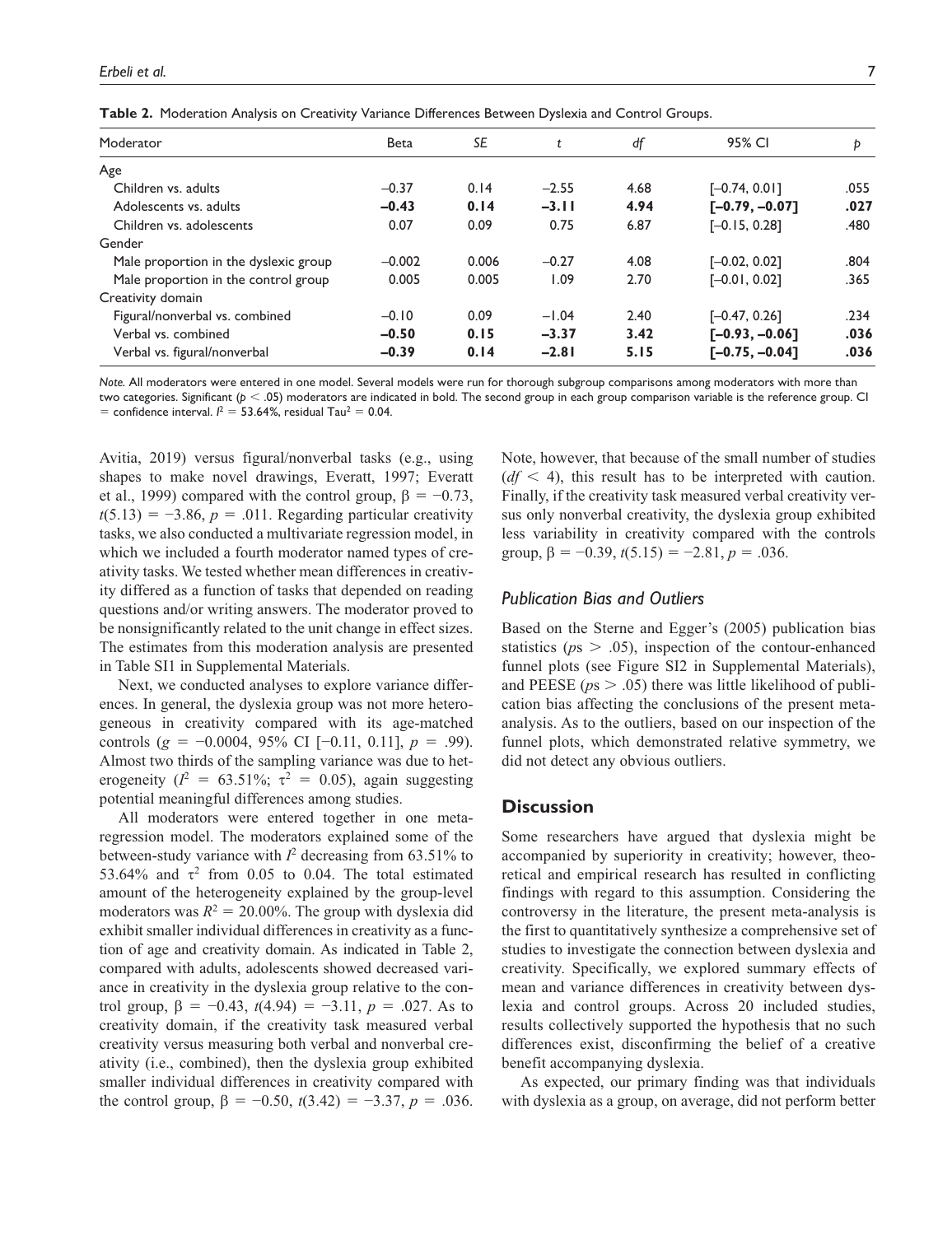| Table 2. Moderation Analysis on Creativity Variance Differences Between Dyslexia and Control Groups. |
|------------------------------------------------------------------------------------------------------|
|------------------------------------------------------------------------------------------------------|

| Moderator                             | <b>Beta</b> | SE    | t       | df   | 95% CI           | Þ    |
|---------------------------------------|-------------|-------|---------|------|------------------|------|
| Age                                   |             |       |         |      |                  |      |
| Children vs. adults                   | $-0.37$     | 0.14  | $-2.55$ | 4.68 | $[-0.74, 0.01]$  | .055 |
| Adolescents vs. adults                | $-0.43$     | 0.14  | $-3.11$ | 4.94 | $[-0.79, -0.07]$ | .027 |
| Children vs. adolescents              | 0.07        | 0.09  | 0.75    | 6.87 | $[-0.15, 0.28]$  | .480 |
| Gender                                |             |       |         |      |                  |      |
| Male proportion in the dyslexic group | $-0.002$    | 0.006 | $-0.27$ | 4.08 | $[-0.02, 0.02]$  | .804 |
| Male proportion in the control group  | 0.005       | 0.005 | 1.09    | 2.70 | $[-0.01, 0.02]$  | .365 |
| Creativity domain                     |             |       |         |      |                  |      |
| Figural/nonverbal vs. combined        | $-0.10$     | 0.09  | $-1.04$ | 2.40 | $[-0.47, 0.26]$  | .234 |
| Verbal vs. combined                   | $-0.50$     | 0.15  | $-3.37$ | 3.42 | $[-0.93, -0.06]$ | .036 |
| Verbal vs. figural/nonverbal          | $-0.39$     | 0.14  | $-2.81$ | 5.15 | $[-0.75, -0.04]$ | .036 |

*Note.* All moderators were entered in one model. Several models were run for thorough subgroup comparisons among moderators with more than two categories. Significant (*p* < .05) moderators are indicated in bold. The second group in each group comparison variable is the reference group. CI  $=$  confidence interval.  $l^2 = 53.64\%$ , residual Tau<sup>2</sup> = 0.04.

Avitia, 2019) versus figural/nonverbal tasks (e.g., using shapes to make novel drawings, Everatt, 1997; Everatt et al., 1999) compared with the control group,  $\beta = -0.73$ ,  $t(5.13) = -3.86$ ,  $p = .011$ . Regarding particular creativity tasks, we also conducted a multivariate regression model, in which we included a fourth moderator named types of creativity tasks. We tested whether mean differences in creativity differed as a function of tasks that depended on reading questions and/or writing answers. The moderator proved to be nonsignificantly related to the unit change in effect sizes. The estimates from this moderation analysis are presented in Table SI1 in Supplemental Materials.

Next, we conducted analyses to explore variance differences. In general, the dyslexia group was not more heterogeneous in creativity compared with its age-matched controls (*g* = −0.0004, 95% CI [−0.11, 0.11], *p* = .99). Almost two thirds of the sampling variance was due to heterogeneity ( $l^2 = 63.51\%$ ;  $\tau^2 = 0.05$ ), again suggesting potential meaningful differences among studies.

All moderators were entered together in one metaregression model. The moderators explained some of the between-study variance with  $I^2$  decreasing from 63.51% to 53.64% and  $\tau^2$  from 0.05 to 0.04. The total estimated amount of the heterogeneity explained by the group-level moderators was  $R^2 = 20.00\%$ . The group with dyslexia did exhibit smaller individual differences in creativity as a function of age and creativity domain. As indicated in Table 2, compared with adults, adolescents showed decreased variance in creativity in the dyslexia group relative to the control group,  $\beta = -0.43$ ,  $t(4.94) = -3.11$ ,  $p = .027$ . As to creativity domain, if the creativity task measured verbal creativity versus measuring both verbal and nonverbal creativity (i.e., combined), then the dyslexia group exhibited smaller individual differences in creativity compared with the control group,  $\beta = -0.50$ ,  $t(3.42) = -3.37$ ,  $p = .036$ .

Note, however, that because of the small number of studies  $(df < 4)$ , this result has to be interpreted with caution. Finally, if the creativity task measured verbal creativity versus only nonverbal creativity, the dyslexia group exhibited less variability in creativity compared with the controls group,  $\beta = -0.39$ ,  $t(5.15) = -2.81$ ,  $p = .036$ .

### *Publication Bias and Outliers*

Based on the Sterne and Egger's (2005) publication bias statistics (*p*s > .05), inspection of the contour-enhanced funnel plots (see Figure SI2 in Supplemental Materials), and PEESE ( $ps > .05$ ) there was little likelihood of publication bias affecting the conclusions of the present metaanalysis. As to the outliers, based on our inspection of the funnel plots, which demonstrated relative symmetry, we did not detect any obvious outliers.

## **Discussion**

Some researchers have argued that dyslexia might be accompanied by superiority in creativity; however, theoretical and empirical research has resulted in conflicting findings with regard to this assumption. Considering the controversy in the literature, the present meta-analysis is the first to quantitatively synthesize a comprehensive set of studies to investigate the connection between dyslexia and creativity. Specifically, we explored summary effects of mean and variance differences in creativity between dyslexia and control groups. Across 20 included studies, results collectively supported the hypothesis that no such differences exist, disconfirming the belief of a creative benefit accompanying dyslexia.

As expected, our primary finding was that individuals with dyslexia as a group, on average, did not perform better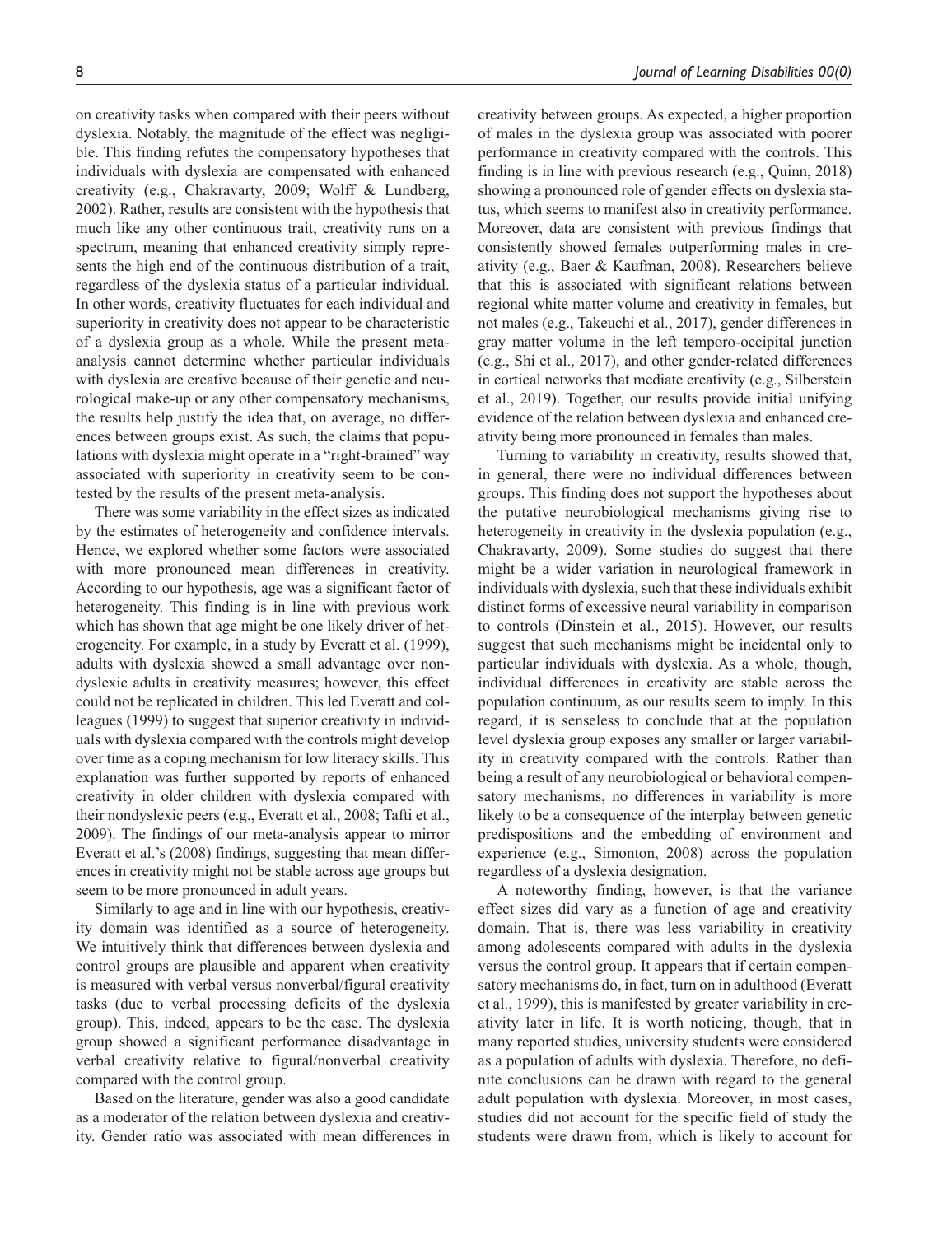on creativity tasks when compared with their peers without dyslexia. Notably, the magnitude of the effect was negligible. This finding refutes the compensatory hypotheses that individuals with dyslexia are compensated with enhanced creativity (e.g., Chakravarty, 2009; Wolff & Lundberg, 2002). Rather, results are consistent with the hypothesis that much like any other continuous trait, creativity runs on a spectrum, meaning that enhanced creativity simply represents the high end of the continuous distribution of a trait, regardless of the dyslexia status of a particular individual. In other words, creativity fluctuates for each individual and superiority in creativity does not appear to be characteristic of a dyslexia group as a whole. While the present metaanalysis cannot determine whether particular individuals with dyslexia are creative because of their genetic and neurological make-up or any other compensatory mechanisms, the results help justify the idea that, on average, no differences between groups exist. As such, the claims that populations with dyslexia might operate in a "right-brained" way associated with superiority in creativity seem to be contested by the results of the present meta-analysis.

There was some variability in the effect sizes as indicated by the estimates of heterogeneity and confidence intervals. Hence, we explored whether some factors were associated with more pronounced mean differences in creativity. According to our hypothesis, age was a significant factor of heterogeneity. This finding is in line with previous work which has shown that age might be one likely driver of heterogeneity. For example, in a study by Everatt et al. (1999), adults with dyslexia showed a small advantage over nondyslexic adults in creativity measures; however, this effect could not be replicated in children. This led Everatt and colleagues (1999) to suggest that superior creativity in individuals with dyslexia compared with the controls might develop over time as a coping mechanism for low literacy skills. This explanation was further supported by reports of enhanced creativity in older children with dyslexia compared with their nondyslexic peers (e.g., Everatt et al., 2008; Tafti et al., 2009). The findings of our meta-analysis appear to mirror Everatt et al.'s (2008) findings, suggesting that mean differences in creativity might not be stable across age groups but seem to be more pronounced in adult years.

Similarly to age and in line with our hypothesis, creativity domain was identified as a source of heterogeneity. We intuitively think that differences between dyslexia and control groups are plausible and apparent when creativity is measured with verbal versus nonverbal/figural creativity tasks (due to verbal processing deficits of the dyslexia group). This, indeed, appears to be the case. The dyslexia group showed a significant performance disadvantage in verbal creativity relative to figural/nonverbal creativity compared with the control group.

Based on the literature, gender was also a good candidate as a moderator of the relation between dyslexia and creativity. Gender ratio was associated with mean differences in creativity between groups. As expected, a higher proportion of males in the dyslexia group was associated with poorer performance in creativity compared with the controls. This finding is in line with previous research (e.g., Quinn, 2018) showing a pronounced role of gender effects on dyslexia status, which seems to manifest also in creativity performance. Moreover, data are consistent with previous findings that consistently showed females outperforming males in creativity (e.g., Baer & Kaufman, 2008). Researchers believe that this is associated with significant relations between regional white matter volume and creativity in females, but not males (e.g., Takeuchi et al., 2017), gender differences in gray matter volume in the left temporo-occipital junction (e.g., Shi et al., 2017), and other gender-related differences in cortical networks that mediate creativity (e.g., Silberstein et al., 2019). Together, our results provide initial unifying evidence of the relation between dyslexia and enhanced creativity being more pronounced in females than males.

Turning to variability in creativity, results showed that, in general, there were no individual differences between groups. This finding does not support the hypotheses about the putative neurobiological mechanisms giving rise to heterogeneity in creativity in the dyslexia population (e.g., Chakravarty, 2009). Some studies do suggest that there might be a wider variation in neurological framework in individuals with dyslexia, such that these individuals exhibit distinct forms of excessive neural variability in comparison to controls (Dinstein et al., 2015). However, our results suggest that such mechanisms might be incidental only to particular individuals with dyslexia. As a whole, though, individual differences in creativity are stable across the population continuum, as our results seem to imply. In this regard, it is senseless to conclude that at the population level dyslexia group exposes any smaller or larger variability in creativity compared with the controls. Rather than being a result of any neurobiological or behavioral compensatory mechanisms, no differences in variability is more likely to be a consequence of the interplay between genetic predispositions and the embedding of environment and experience (e.g., Simonton, 2008) across the population regardless of a dyslexia designation.

A noteworthy finding, however, is that the variance effect sizes did vary as a function of age and creativity domain. That is, there was less variability in creativity among adolescents compared with adults in the dyslexia versus the control group. It appears that if certain compensatory mechanisms do, in fact, turn on in adulthood (Everatt et al., 1999), this is manifested by greater variability in creativity later in life. It is worth noticing, though, that in many reported studies, university students were considered as a population of adults with dyslexia. Therefore, no definite conclusions can be drawn with regard to the general adult population with dyslexia. Moreover, in most cases, studies did not account for the specific field of study the students were drawn from, which is likely to account for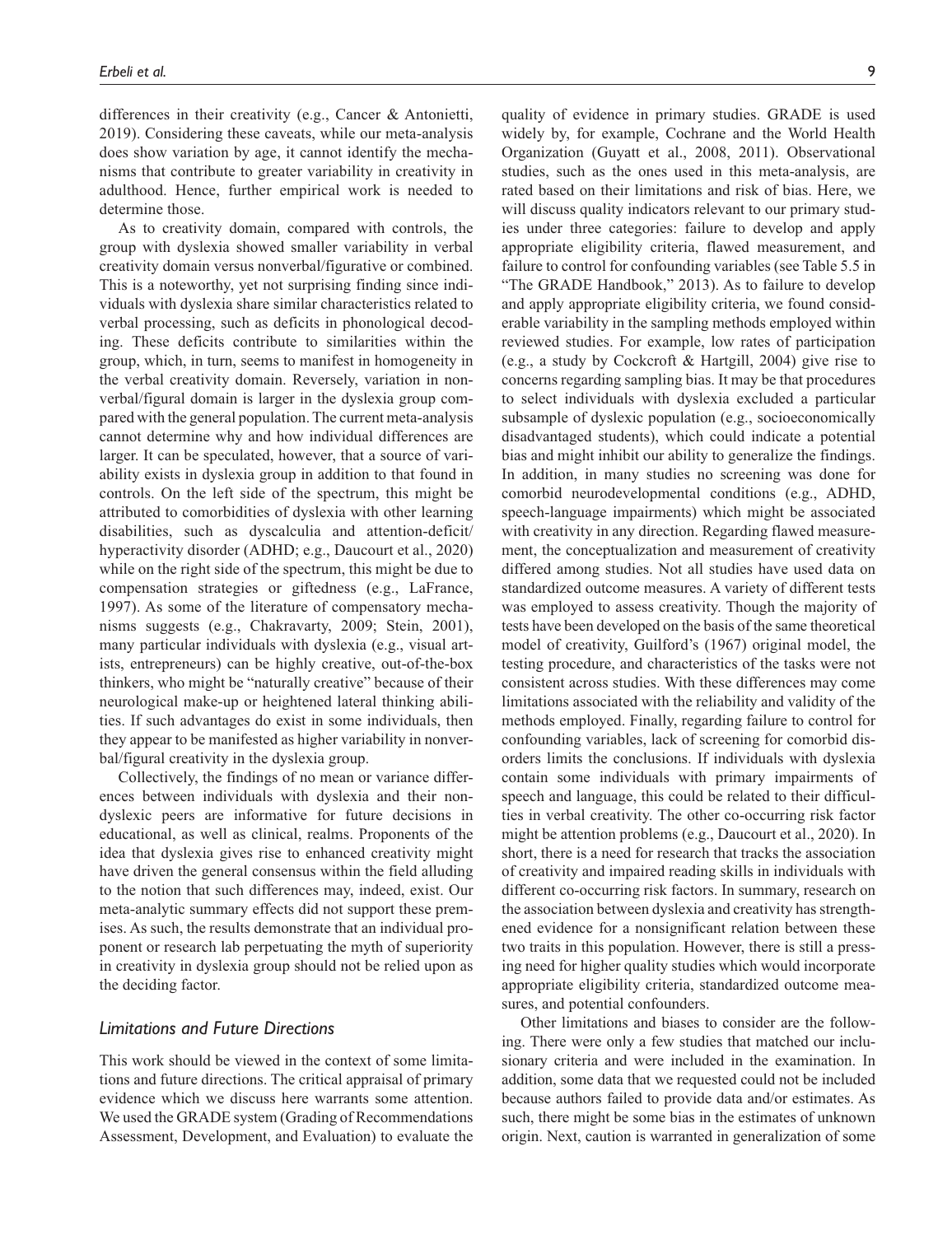differences in their creativity (e.g., Cancer & Antonietti, 2019). Considering these caveats, while our meta-analysis does show variation by age, it cannot identify the mechanisms that contribute to greater variability in creativity in adulthood. Hence, further empirical work is needed to determine those.

As to creativity domain, compared with controls, the group with dyslexia showed smaller variability in verbal creativity domain versus nonverbal/figurative or combined. This is a noteworthy, yet not surprising finding since individuals with dyslexia share similar characteristics related to verbal processing, such as deficits in phonological decoding. These deficits contribute to similarities within the group, which, in turn, seems to manifest in homogeneity in the verbal creativity domain. Reversely, variation in nonverbal/figural domain is larger in the dyslexia group compared with the general population. The current meta-analysis cannot determine why and how individual differences are larger. It can be speculated, however, that a source of variability exists in dyslexia group in addition to that found in controls. On the left side of the spectrum, this might be attributed to comorbidities of dyslexia with other learning disabilities, such as dyscalculia and attention-deficit/ hyperactivity disorder (ADHD; e.g., Daucourt et al., 2020) while on the right side of the spectrum, this might be due to compensation strategies or giftedness (e.g., LaFrance, 1997). As some of the literature of compensatory mechanisms suggests (e.g., Chakravarty, 2009; Stein, 2001), many particular individuals with dyslexia (e.g., visual artists, entrepreneurs) can be highly creative, out-of-the-box thinkers, who might be "naturally creative" because of their neurological make-up or heightened lateral thinking abilities. If such advantages do exist in some individuals, then they appear to be manifested as higher variability in nonverbal/figural creativity in the dyslexia group.

Collectively, the findings of no mean or variance differences between individuals with dyslexia and their nondyslexic peers are informative for future decisions in educational, as well as clinical, realms. Proponents of the idea that dyslexia gives rise to enhanced creativity might have driven the general consensus within the field alluding to the notion that such differences may, indeed, exist. Our meta-analytic summary effects did not support these premises. As such, the results demonstrate that an individual proponent or research lab perpetuating the myth of superiority in creativity in dyslexia group should not be relied upon as the deciding factor.

## *Limitations and Future Directions*

This work should be viewed in the context of some limitations and future directions. The critical appraisal of primary evidence which we discuss here warrants some attention. We used the GRADE system (Grading of Recommendations Assessment, Development, and Evaluation) to evaluate the quality of evidence in primary studies. GRADE is used widely by, for example, Cochrane and the World Health Organization (Guyatt et al., 2008, 2011). Observational studies, such as the ones used in this meta-analysis, are rated based on their limitations and risk of bias. Here, we will discuss quality indicators relevant to our primary studies under three categories: failure to develop and apply appropriate eligibility criteria, flawed measurement, and failure to control for confounding variables (see Table 5.5 in "The GRADE Handbook," 2013). As to failure to develop and apply appropriate eligibility criteria, we found considerable variability in the sampling methods employed within reviewed studies. For example, low rates of participation (e.g., a study by Cockcroft & Hartgill, 2004) give rise to concerns regarding sampling bias. It may be that procedures to select individuals with dyslexia excluded a particular subsample of dyslexic population (e.g., socioeconomically disadvantaged students), which could indicate a potential bias and might inhibit our ability to generalize the findings. In addition, in many studies no screening was done for comorbid neurodevelopmental conditions (e.g., ADHD, speech-language impairments) which might be associated with creativity in any direction. Regarding flawed measurement, the conceptualization and measurement of creativity differed among studies. Not all studies have used data on standardized outcome measures. A variety of different tests was employed to assess creativity. Though the majority of tests have been developed on the basis of the same theoretical model of creativity, Guilford's (1967) original model, the testing procedure, and characteristics of the tasks were not consistent across studies. With these differences may come limitations associated with the reliability and validity of the methods employed. Finally, regarding failure to control for confounding variables, lack of screening for comorbid disorders limits the conclusions. If individuals with dyslexia contain some individuals with primary impairments of speech and language, this could be related to their difficulties in verbal creativity. The other co-occurring risk factor might be attention problems (e.g., Daucourt et al., 2020). In short, there is a need for research that tracks the association of creativity and impaired reading skills in individuals with different co-occurring risk factors. In summary, research on the association between dyslexia and creativity has strengthened evidence for a nonsignificant relation between these two traits in this population. However, there is still a pressing need for higher quality studies which would incorporate appropriate eligibility criteria, standardized outcome measures, and potential confounders.

Other limitations and biases to consider are the following. There were only a few studies that matched our inclusionary criteria and were included in the examination. In addition, some data that we requested could not be included because authors failed to provide data and/or estimates. As such, there might be some bias in the estimates of unknown origin. Next, caution is warranted in generalization of some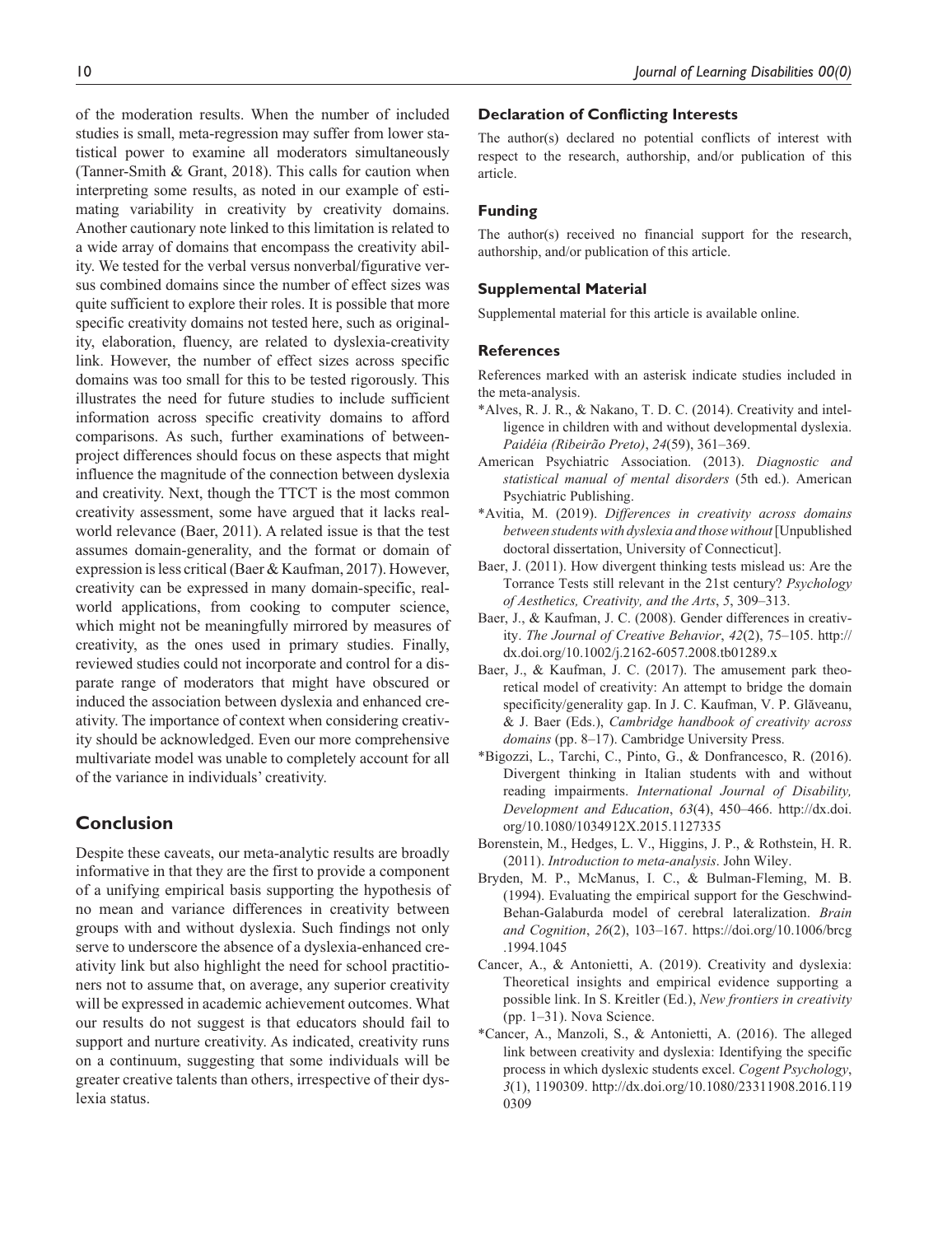of the moderation results. When the number of included studies is small, meta-regression may suffer from lower statistical power to examine all moderators simultaneously (Tanner-Smith & Grant, 2018). This calls for caution when interpreting some results, as noted in our example of estimating variability in creativity by creativity domains. Another cautionary note linked to this limitation is related to a wide array of domains that encompass the creativity ability. We tested for the verbal versus nonverbal/figurative versus combined domains since the number of effect sizes was quite sufficient to explore their roles. It is possible that more specific creativity domains not tested here, such as originality, elaboration, fluency, are related to dyslexia-creativity link. However, the number of effect sizes across specific domains was too small for this to be tested rigorously. This illustrates the need for future studies to include sufficient information across specific creativity domains to afford comparisons. As such, further examinations of betweenproject differences should focus on these aspects that might influence the magnitude of the connection between dyslexia and creativity. Next, though the TTCT is the most common creativity assessment, some have argued that it lacks realworld relevance (Baer, 2011). A related issue is that the test assumes domain-generality, and the format or domain of expression is less critical (Baer & Kaufman, 2017). However, creativity can be expressed in many domain-specific, realworld applications, from cooking to computer science, which might not be meaningfully mirrored by measures of creativity, as the ones used in primary studies. Finally, reviewed studies could not incorporate and control for a disparate range of moderators that might have obscured or induced the association between dyslexia and enhanced creativity. The importance of context when considering creativity should be acknowledged. Even our more comprehensive multivariate model was unable to completely account for all of the variance in individuals' creativity.

## **Conclusion**

Despite these caveats, our meta-analytic results are broadly informative in that they are the first to provide a component of a unifying empirical basis supporting the hypothesis of no mean and variance differences in creativity between groups with and without dyslexia. Such findings not only serve to underscore the absence of a dyslexia-enhanced creativity link but also highlight the need for school practitioners not to assume that, on average, any superior creativity will be expressed in academic achievement outcomes. What our results do not suggest is that educators should fail to support and nurture creativity. As indicated, creativity runs on a continuum, suggesting that some individuals will be greater creative talents than others, irrespective of their dyslexia status.

### **Declaration of Conflicting Interests**

The author(s) declared no potential conflicts of interest with respect to the research, authorship, and/or publication of this article.

### **Funding**

The author(s) received no financial support for the research, authorship, and/or publication of this article.

### **Supplemental Material**

Supplemental material for this article is available online.

### **References**

References marked with an asterisk indicate studies included in the meta-analysis.

- \*Alves, R. J. R., & Nakano, T. D. C. (2014). Creativity and intelligence in children with and without developmental dyslexia. *Paidéia (Ribeirão Preto)*, *24*(59), 361–369.
- American Psychiatric Association. (2013). *Diagnostic and statistical manual of mental disorders* (5th ed.). American Psychiatric Publishing.
- \*Avitia, M. (2019). *Differences in creativity across domains between students with dyslexia and those without* [Unpublished doctoral dissertation, University of Connecticut].
- Baer, J. (2011). How divergent thinking tests mislead us: Are the Torrance Tests still relevant in the 21st century? *Psychology of Aesthetics, Creativity, and the Arts*, *5*, 309–313.
- Baer, J., & Kaufman, J. C. (2008). Gender differences in creativity. *The Journal of Creative Behavior*, *42*(2), 75–105. [http://](http://dx.doi.org/10.1002/j.2162-6057.2008.tb01289.x) [dx.doi.org/10.1002/j.2162-6057.2008.tb01289.x](http://dx.doi.org/10.1002/j.2162-6057.2008.tb01289.x)
- Baer, J., & Kaufman, J. C. (2017). The amusement park theoretical model of creativity: An attempt to bridge the domain specificity/generality gap. In J. C. Kaufman, V. P. Glăveanu, & J. Baer (Eds.), *Cambridge handbook of creativity across domains* (pp. 8–17). Cambridge University Press.
- \*Bigozzi, L., Tarchi, C., Pinto, G., & Donfrancesco, R. (2016). Divergent thinking in Italian students with and without reading impairments. *International Journal of Disability, Development and Education*, *63*(4), 450–466. [http://dx.doi.](http://dx.doi.org/10.1080/1034912X.2015.1127335) [org/10.1080/1034912X.2015.1127335](http://dx.doi.org/10.1080/1034912X.2015.1127335)
- Borenstein, M., Hedges, L. V., Higgins, J. P., & Rothstein, H. R. (2011). *Introduction to meta-analysis*. John Wiley.
- Bryden, M. P., McManus, I. C., & Bulman-Fleming, M. B. (1994). Evaluating the empirical support for the Geschwind-Behan-Galaburda model of cerebral lateralization. *Brain and Cognition*, *26*(2), 103–167. [https://doi.org/10.1006/brcg](https://doi.org/10.1006/brcg.1994.1045) [.1994.1045](https://doi.org/10.1006/brcg.1994.1045)
- Cancer, A., & Antonietti, A. (2019). Creativity and dyslexia: Theoretical insights and empirical evidence supporting a possible link. In S. Kreitler (Ed.), *New frontiers in creativity* (pp. 1–31). Nova Science.
- \*Cancer, A., Manzoli, S., & Antonietti, A. (2016). The alleged link between creativity and dyslexia: Identifying the specific process in which dyslexic students excel. *Cogent Psychology*, *3*(1), 1190309. [http://dx.doi.org/10.1080/23311908.2016.119](http://dx.doi.org/10.1080/23311908.2016.1190309) [0309](http://dx.doi.org/10.1080/23311908.2016.1190309)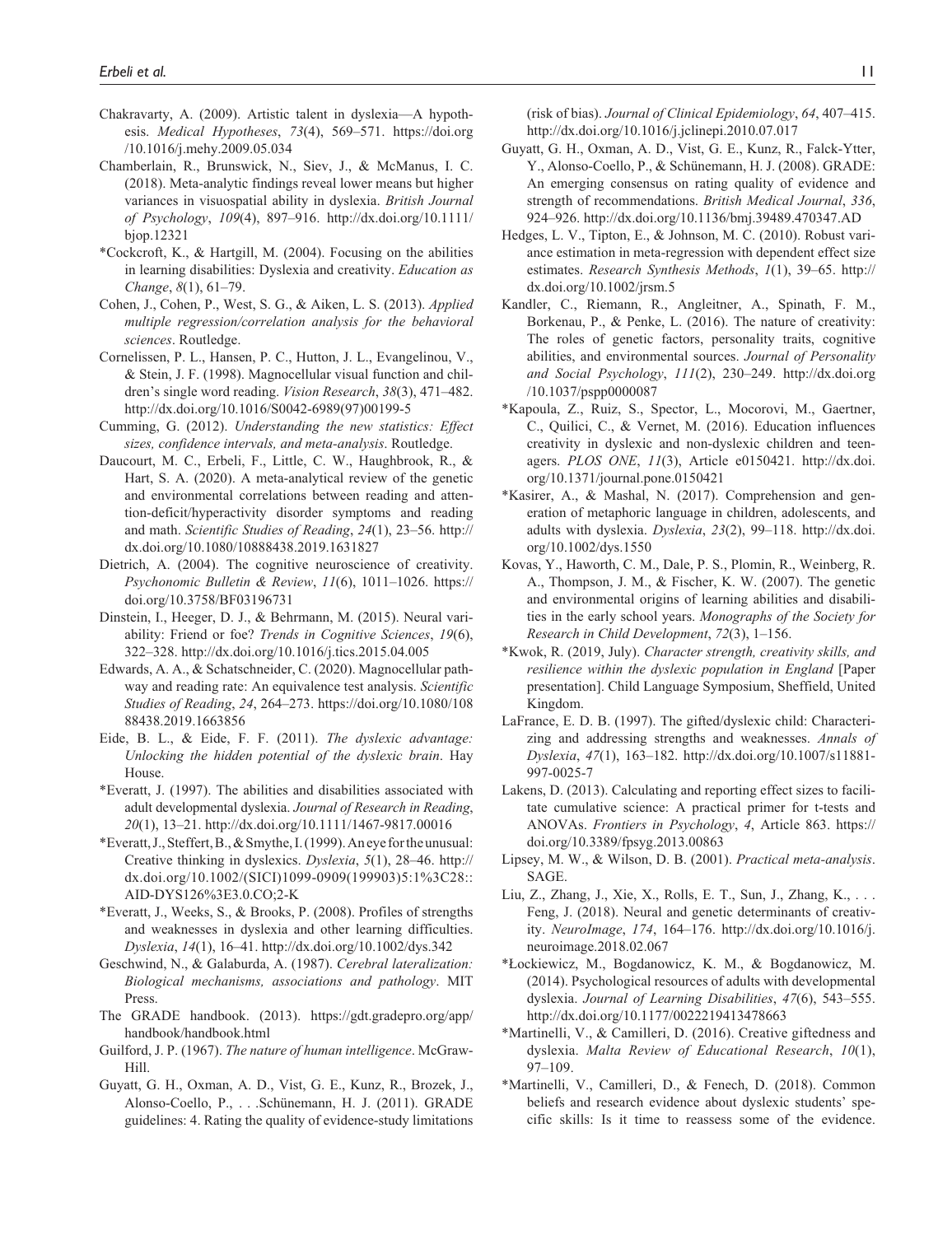- Chakravarty, A. (2009). Artistic talent in dyslexia—A hypothesis. *Medical Hypotheses*, *73*(4), 569–571. [https://doi.org](https://doi.org/10.1016/j.mehy.2009.05.034) [/10.1016/j.mehy.2009.05.034](https://doi.org/10.1016/j.mehy.2009.05.034)
- Chamberlain, R., Brunswick, N., Siev, J., & McManus, I. C. (2018). Meta-analytic findings reveal lower means but higher variances in visuospatial ability in dyslexia. *British Journal of Psychology*, *109*(4), 897–916. [http://dx.doi.org/10.1111/](http://dx.doi.org/10.1111/bjop.12321) [bjop.12321](http://dx.doi.org/10.1111/bjop.12321)
- \*Cockcroft, K., & Hartgill, M. (2004). Focusing on the abilities in learning disabilities: Dyslexia and creativity. *Education as Change*, *8*(1), 61–79.
- Cohen, J., Cohen, P., West, S. G., & Aiken, L. S. (2013). *Applied multiple regression/correlation analysis for the behavioral sciences*. Routledge.
- Cornelissen, P. L., Hansen, P. C., Hutton, J. L., Evangelinou, V., & Stein, J. F. (1998). Magnocellular visual function and children's single word reading. *Vision Research*, *38*(3), 471–482. [http://dx.doi.org/10.1016/S0042-6989\(97\)00199-5](http://dx.doi.org/10.1016/S0042-6989(97)00199-5)
- Cumming, G. (2012). *Understanding the new statistics: Effect sizes, confidence intervals, and meta-analysis*. Routledge.
- Daucourt, M. C., Erbeli, F., Little, C. W., Haughbrook, R., & Hart, S. A. (2020). A meta-analytical review of the genetic and environmental correlations between reading and attention-deficit/hyperactivity disorder symptoms and reading and math. *Scientific Studies of Reading*, *24*(1), 23–56. [http://](http://dx.doi.org/10.1080/10888438.2019.1631827) [dx.doi.org/10.1080/10888438.2019.1631827](http://dx.doi.org/10.1080/10888438.2019.1631827)
- Dietrich, A. (2004). The cognitive neuroscience of creativity. *Psychonomic Bulletin & Review*, *11*(6), 1011–1026. [https://](https://doi.org/10.3758/BF03196731) [doi.org/10.3758/BF03196731](https://doi.org/10.3758/BF03196731)
- Dinstein, I., Heeger, D. J., & Behrmann, M. (2015). Neural variability: Friend or foe? *Trends in Cognitive Sciences*, *19*(6), 322–328.<http://dx.doi.org/10.1016/j.tics.2015.04.005>
- Edwards, A. A., & Schatschneider, C. (2020). Magnocellular pathway and reading rate: An equivalence test analysis. *Scientific Studies of Reading*, *24*, 264–273. [https://doi.org/10.1080/108](https://doi.org/10.1080/10888438.2019.1663856) [88438.2019.1663856](https://doi.org/10.1080/10888438.2019.1663856)
- Eide, B. L., & Eide, F. F. (2011). *The dyslexic advantage: Unlocking the hidden potential of the dyslexic brain*. Hay House.
- \*Everatt, J. (1997). The abilities and disabilities associated with adult developmental dyslexia. *Journal of Research in Reading*, *20*(1), 13–21.<http://dx.doi.org/10.1111/1467-9817.00016>
- \*Everatt, J., Steffert, B., & Smythe, I. (1999). An eye for the unusual: Creative thinking in dyslexics. *Dyslexia*, *5*(1), 28–46. [http://](http://dx.doi.org/10.1002/(SICI)1099-0909(199903)5:1%3C28::AID-DYS126%3E3.0.CO;2-K) [dx.doi.org/10.1002/\(SICI\)1099-0909\(199903\)5:1%3C28::](http://dx.doi.org/10.1002/(SICI)1099-0909(199903)5:1%3C28::AID-DYS126%3E3.0.CO;2-K) [AID-DYS126%3E3.0.CO;2-K](http://dx.doi.org/10.1002/(SICI)1099-0909(199903)5:1%3C28::AID-DYS126%3E3.0.CO;2-K)
- \*Everatt, J., Weeks, S., & Brooks, P. (2008). Profiles of strengths and weaknesses in dyslexia and other learning difficulties. *Dyslexia*, *14*(1), 16–41. <http://dx.doi.org/10.1002/dys.342>
- Geschwind, N., & Galaburda, A. (1987). *Cerebral lateralization: Biological mechanisms, associations and pathology*. MIT Press.
- The GRADE handbook. (2013). [https://gdt.gradepro.org/app/](https://gdt.gradepro.org/app/handbook/handbook.html) [handbook/handbook.html](https://gdt.gradepro.org/app/handbook/handbook.html)
- Guilford, J. P. (1967). *The nature of human intelligence*. McGraw-Hill.
- Guyatt, G. H., Oxman, A. D., Vist, G. E., Kunz, R., Brozek, J., Alonso-Coello, P., . . .Schünemann, H. J. (2011). GRADE guidelines: 4. Rating the quality of evidence-study limitations

(risk of bias). *Journal of Clinical Epidemiology*, *64*, 407–415. <http://dx.doi.org/10.1016/j.jclinepi.2010.07.017>

- Guyatt, G. H., Oxman, A. D., Vist, G. E., Kunz, R., Falck-Ytter, Y., Alonso-Coello, P., & Schünemann, H. J. (2008). GRADE: An emerging consensus on rating quality of evidence and strength of recommendations. *British Medical Journal*, *336*, 924–926. <http://dx.doi.org/10.1136/bmj.39489.470347.AD>
- Hedges, L. V., Tipton, E., & Johnson, M. C. (2010). Robust variance estimation in meta-regression with dependent effect size estimates. *Research Synthesis Methods*, *1*(1), 39–65. [http://](http://dx.doi.org/10.1002/jrsm.5) [dx.doi.org/10.1002/jrsm.5](http://dx.doi.org/10.1002/jrsm.5)
- Kandler, C., Riemann, R., Angleitner, A., Spinath, F. M., Borkenau, P., & Penke, L. (2016). The nature of creativity: The roles of genetic factors, personality traits, cognitive abilities, and environmental sources. *Journal of Personality and Social Psychology*, *111*(2), 230–249. [http://dx.doi.org](http://dx.doi.org/10.1037/pspp0000087) [/10.1037/pspp0000087](http://dx.doi.org/10.1037/pspp0000087)
- \*Kapoula, Z., Ruiz, S., Spector, L., Mocorovi, M., Gaertner, C., Quilici, C., & Vernet, M. (2016). Education influences creativity in dyslexic and non-dyslexic children and teenagers. *PLOS ONE*, *11*(3), Article e0150421. [http://dx.doi.](http://dx.doi.org/10.1371/journal.pone.0150421) [org/10.1371/journal.pone.0150421](http://dx.doi.org/10.1371/journal.pone.0150421)
- \*Kasirer, A., & Mashal, N. (2017). Comprehension and generation of metaphoric language in children, adolescents, and adults with dyslexia. *Dyslexia*, *23*(2), 99–118. [http://dx.doi.](http://dx.doi.org/10.1002/dys.1550) [org/10.1002/dys.1550](http://dx.doi.org/10.1002/dys.1550)
- Kovas, Y., Haworth, C. M., Dale, P. S., Plomin, R., Weinberg, R. A., Thompson, J. M., & Fischer, K. W. (2007). The genetic and environmental origins of learning abilities and disabilities in the early school years. *Monographs of the Society for Research in Child Development*, *72*(3), 1–156.
- \*Kwok, R. (2019, July). *Character strength, creativity skills, and resilience within the dyslexic population in England* [Paper presentation]. Child Language Symposium, Sheffield, United Kingdom.
- LaFrance, E. D. B. (1997). The gifted/dyslexic child: Characterizing and addressing strengths and weaknesses. *Annals of Dyslexia*, *47*(1), 163–182. [http://dx.doi.org/10.1007/s11881-](http://dx.doi.org/10.1007/s11881-997-0025-7) [997-0025-7](http://dx.doi.org/10.1007/s11881-997-0025-7)
- Lakens, D. (2013). Calculating and reporting effect sizes to facilitate cumulative science: A practical primer for t-tests and ANOVAs. *Frontiers in Psychology*, *4*, Article 863. [https://](https://doi.org/10.3389/fpsyg.2013.00863) [doi.org/10.3389/fpsyg.2013.00863](https://doi.org/10.3389/fpsyg.2013.00863)
- Lipsey, M. W., & Wilson, D. B. (2001). *Practical meta-analysis*. SAGE.
- Liu, Z., Zhang, J., Xie, X., Rolls, E. T., Sun, J., Zhang, K., . . . Feng, J. (2018). Neural and genetic determinants of creativity. *NeuroImage*, *174*, 164–176. [http://dx.doi.org/10.1016/j.](http://dx.doi.org/10.1016/j.neuroimage.2018.02.067) [neuroimage.2018.02.067](http://dx.doi.org/10.1016/j.neuroimage.2018.02.067)
- \*Łockiewicz, M., Bogdanowicz, K. M., & Bogdanowicz, M. (2014). Psychological resources of adults with developmental dyslexia. *Journal of Learning Disabilities*, *47*(6), 543–555. <http://dx.doi.org/10.1177/0022219413478663>
- \*Martinelli, V., & Camilleri, D. (2016). Creative giftedness and dyslexia. *Malta Review of Educational Research*, *10*(1), 97–109.
- \*Martinelli, V., Camilleri, D., & Fenech, D. (2018). Common beliefs and research evidence about dyslexic students' specific skills: Is it time to reassess some of the evidence.